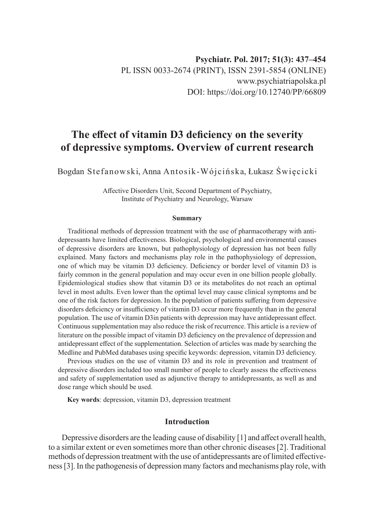# **The effect of vitamin D3 deficiency on the severity of depressive symptoms. Overview of current research**

Bogdan Stefanowski, Anna Antosik-Wójcińska, Łukasz Święcicki

Affective Disorders Unit, Second Department of Psychiatry, Institute of Psychiatry and Neurology, Warsaw

#### **Summary**

Traditional methods of depression treatment with the use of pharmacotherapy with antidepressants have limited effectiveness. Biological, psychological and environmental causes of depressive disorders are known, but pathophysiology of depression has not been fully explained. Many factors and mechanisms play role in the pathophysiology of depression, one of which may be vitamin D3 deficiency. Deficiency or border level of vitamin D3 is fairly common in the general population and may occur even in one billion people globally. Epidemiological studies show that vitamin D3 or its metabolites do not reach an optimal level in most adults. Even lower than the optimal level may cause clinical symptoms and be one of the risk factors for depression. In the population of patients suffering from depressive disorders deficiency or insufficiency of vitamin D3 occur more frequently than in the general population. The use of vitamin D3in patients with depression may have antidepressant effect. Continuous supplementation may also reduce the risk of recurrence. This article is a review of literature on the possible impact of vitamin D3 deficiency on the prevalence of depression and antidepressant effect of the supplementation. Selection of articles was made by searching the Medline and PubMed databases using specific keywords: depression, vitamin D3 deficiency.

Previous studies on the use of vitamin D3 and its role in prevention and treatment of depressive disorders included too small number of people to clearly assess the effectiveness and safety of supplementation used as adjunctive therapy to antidepressants, as well as and dose range which should be used.

**Key words**: depression, vitamin D3, depression treatment

## **Introduction**

Depressive disorders are the leading cause of disability [1] and affect overall health, to a similar extent or even sometimes more than other chronic diseases[2]. Traditional methods of depression treatment with the use of antidepressants are of limited effectiveness[3]. In the pathogenesis of depression many factors and mechanisms play role, with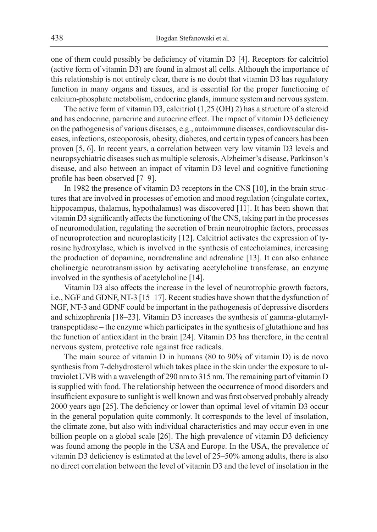one of them could possibly be deficiency of vitamin D3 [4]. Receptors for calcitriol (active form of vitamin D3) are found in almost all cells. Although the importance of this relationship is not entirely clear, there is no doubt that vitamin D3 has regulatory function in many organs and tissues, and is essential for the proper functioning of calcium-phosphate metabolism, endocrine glands, immune system and nervous system.

The active form of vitamin D3, calcitriol (1,25 (OH) 2) has a structure of a steroid and has endocrine, paracrine and autocrine effect. The impact of vitamin D3 deficiency on the pathogenesis of various diseases, e.g., autoimmune diseases, cardiovascular diseases, infections, osteoporosis, obesity, diabetes, and certain types of cancers has been proven [5, 6]. In recent years, a correlation between very low vitamin D3 levels and neuropsychiatric diseases such as multiple sclerosis, Alzheimer's disease, Parkinson's disease, and also between an impact of vitamin D3 level and cognitive functioning profile has been observed [7–9].

In 1982 the presence of vitamin D3 receptors in the CNS [10], in the brain structures that are involved in processes of emotion and mood regulation (cingulate cortex, hippocampus, thalamus, hypothalamus) was discovered [11]. It has been shown that vitamin D3 significantly affects the functioning of the CNS, taking part in the processes of neuromodulation, regulating the secretion of brain neurotrophic factors, processes of neuroprotection and neuroplasticity [12]. Calcitriol activates the expression of tyrosine hydroxylase, which is involved in the synthesis of catecholamines, increasing the production of dopamine, noradrenaline and adrenaline [13]. It can also enhance cholinergic neurotransmission by activating acetylcholine transferase, an enzyme involved in the synthesis of acetylcholine [14].

Vitamin D3 also affects the increase in the level of neurotrophic growth factors, i.e., NGF and GDNF, NT-3 [15–17]. Recent studies have shown that the dysfunction of NGF, NT-3 and GDNF could be important in the pathogenesis of depressive disorders and schizophrenia [18–23]. Vitamin D3 increases the synthesis of gamma-glutamyltranspeptidase – the enzyme which participates in the synthesis of glutathione and has the function of antioxidant in the brain [24]. Vitamin D3 has therefore, in the central nervous system, protective role against free radicals.

The main source of vitamin D in humans (80 to 90% of vitamin D) is de novo synthesis from 7-dehydrosterol which takes place in the skin under the exposure to ultraviolet UVB with a wavelength of 290 nm to 315 nm. The remaining part of vitamin D is supplied with food. The relationship between the occurrence of mood disorders and insufficient exposure to sunlight is well known and was first observed probably already 2000 years ago [25]. The deficiency or lower than optimal level of vitamin D3 occur in the general population quite commonly. It corresponds to the level of insolation, the climate zone, but also with individual characteristics and may occur even in one billion people on a global scale [26]. The high prevalence of vitamin D3 deficiency was found among the people in the USA and Europe. In the USA, the prevalence of vitamin D3 deficiency is estimated at the level of 25–50% among adults, there is also no direct correlation between the level of vitamin D3 and the level of insolation in the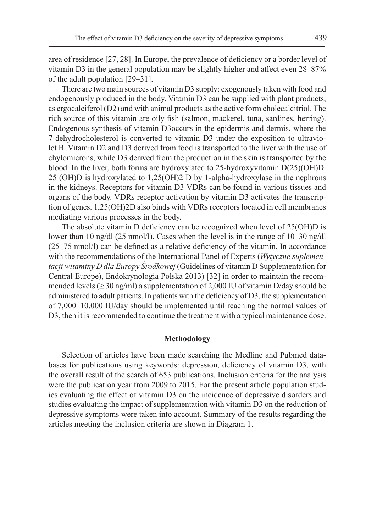area of residence [27, 28]. In Europe, the prevalence of deficiency or a border level of vitamin D3 in the general population may be slightly higher and affect even 28–87% of the adult population [29–31].

There are two main sources of vitamin D3 supply: exogenously taken with food and endogenously produced in the body. Vitamin D3 can be supplied with plant products, as ergocalciferol (D2) and with animal products as the active form cholecalcitriol. The rich source of this vitamin are oily fish (salmon, mackerel, tuna, sardines, herring). Endogenous synthesis of vitamin D3occurs in the epidermis and dermis, where the 7-dehydrocholesterol is converted to vitamin D3 under the exposition to ultraviolet B. Vitamin D2 and D3 derived from food is transported to the liver with the use of chylomicrons, while D3 derived from the production in the skin is transported by the blood. In the liver, both forms are hydroxylated to 25-hydroxyvitamin D(25)(OH)D. 25 (OH)D is hydroxylated to 1,25(OH)2 D by 1-alpha-hydroxylase in the nephrons in the kidneys. Receptors for vitamin D3 VDRs can be found in various tissues and organs of the body. VDRs receptor activation by vitamin D3 activates the transcription of genes. 1,25(OH)2D also binds with VDRs receptors located in cell membranes mediating various processes in the body.

The absolute vitamin D deficiency can be recognized when level of 25(OH)D is lower than 10 ng/dl (25 nmol/l). Cases when the level is in the range of 10–30 ng/dl (25–75 nmol/l) can be defined as a relative deficiency of the vitamin. In accordance with the recommendations of the International Panel of Experts (*Wytyczne suplementacji witaminy D dla Europy Środkowej* (Guidelines of vitamin D Supplementation for Central Europe), Endokrynologia Polska 2013) [32] in order to maintain the recommended levels ( $\geq$  30 ng/ml) a supplementation of 2,000 IU of vitamin D/day should be administered to adult patients. In patients with the deficiency of D3, the supplementation of 7,000–10,000 IU/day should be implemented until reaching the normal values of D3, then it is recommended to continue the treatment with a typical maintenance dose.

### **Methodology**

Selection of articles have been made searching the Medline and Pubmed databases for publications using keywords: depression, deficiency of vitamin D3, with the overall result of the search of 653 publications. Inclusion criteria for the analysis were the publication year from 2009 to 2015. For the present article population studies evaluating the effect of vitamin D3 on the incidence of depressive disorders and studies evaluating the impact of supplementation with vitamin D3 on the reduction of depressive symptoms were taken into account. Summary of the results regarding the articles meeting the inclusion criteria are shown in Diagram 1.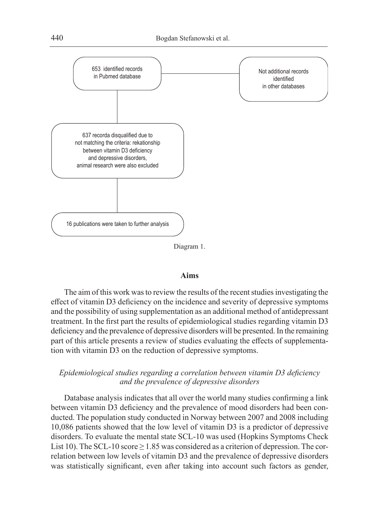

Diagram 1.

#### **Aims**

The aim of this work was to review the results of the recent studies investigating the effect of vitamin D3 deficiency on the incidence and severity of depressive symptoms and the possibility of using supplementation as an additional method of antidepressant treatment. In the first part the results of epidemiological studies regarding vitamin D3 deficiency and the prevalence of depressive disorders will be presented. In the remaining part of this article presents a review of studies evaluating the effects of supplementation with vitamin D3 on the reduction of depressive symptoms.

## *Epidemiological studies regarding a correlation between vitamin D3 deficiency and the prevalence of depressive disorders*

Database analysis indicates that all over the world many studies confirming a link between vitamin D3 deficiency and the prevalence of mood disorders had been conducted. The population study conducted in Norway between 2007 and 2008 including 10,086 patients showed that the low level of vitamin D3 is a predictor of depressive disorders. To evaluate the mental state SCL-10 was used (Hopkins Symptoms Check List 10). The SCL-10 score  $\geq 1.85$  was considered as a criterion of depression. The correlation between low levels of vitamin D3 and the prevalence of depressive disorders was statistically significant, even after taking into account such factors as gender,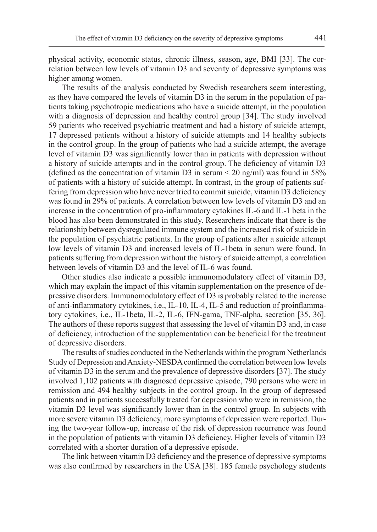physical activity, economic status, chronic illness, season, age, BMI [33]. The correlation between low levels of vitamin D3 and severity of depressive symptoms was higher among women.

The results of the analysis conducted by Swedish researchers seem interesting, as they have compared the levels of vitamin D3 in the serum in the population of patients taking psychotropic medications who have a suicide attempt, in the population with a diagnosis of depression and healthy control group [34]. The study involved 59 patients who received psychiatric treatment and had a history of suicide attempt, 17 depressed patients without a history of suicide attempts and 14 healthy subjects in the control group. In the group of patients who had a suicide attempt, the average level of vitamin D3 was significantly lower than in patients with depression without a history of suicide attempts and in the control group. The deficiency of vitamin D3 (defined as the concentration of vitamin D3 in serum  $\leq$  20 ng/ml) was found in 58% of patients with a history of suicide attempt. In contrast, in the group of patients suffering from depression who have never tried to commit suicide, vitamin D3 deficiency was found in 29% of patients. A correlation between low levels of vitamin D3 and an increase in the concentration of pro-inflammatory cytokines IL-6 and IL-1 beta in the blood has also been demonstrated in this study. Researchers indicate that there is the relationship between dysregulated immune system and the increased risk of suicide in the population of psychiatric patients. In the group of patients after a suicide attempt low levels of vitamin D3 and increased levels of IL-1beta in serum were found. In patients suffering from depression without the history of suicide attempt, a correlation between levels of vitamin D3 and the level of IL-6 was found.

Other studies also indicate a possible immunomodulatory effect of vitamin D3, which may explain the impact of this vitamin supplementation on the presence of depressive disorders. Immunomodulatory effect of D3 is probably related to the increase of anti-inflammatory cytokines, i.e., IL-10, IL-4, IL-5 and reduction of proinflammatory cytokines, i.e., IL-1beta, IL-2, IL-6, IFN-gama, TNF-alpha, secretion [35, 36]. The authors of these reports suggest that assessing the level of vitamin D3 and, in case of deficiency, introduction of the supplementation can be beneficial for the treatment of depressive disorders.

The results of studies conducted in the Netherlands within the program Netherlands Study of Depression and Anxiety-NESDA confirmed the correlation between low levels of vitamin D3 in the serum and the prevalence of depressive disorders [37]. The study involved 1,102 patients with diagnosed depressive episode, 790 persons who were in remission and 494 healthy subjects in the control group. In the group of depressed patients and in patients successfully treated for depression who were in remission, the vitamin D3 level was significantly lower than in the control group. In subjects with more severe vitamin D3 deficiency, more symptoms of depression were reported. During the two-year follow-up, increase of the risk of depression recurrence was found in the population of patients with vitamin D3 deficiency. Higher levels of vitamin D3 correlated with a shorter duration of a depressive episode.

The link between vitamin D3 deficiency and the presence of depressive symptoms was also confirmed by researchers in the USA [38]. 185 female psychology students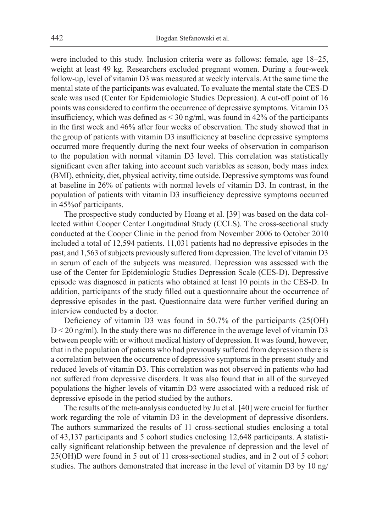were included to this study. Inclusion criteria were as follows: female, age 18–25, weight at least 49 kg. Researchers excluded pregnant women. During a four-week follow-up, level of vitamin D3 was measured at weekly intervals. At the same time the mental state of the participants was evaluated. To evaluate the mental state the CES-D scale was used (Center for Epidemiologic Studies Depression). A cut-off point of 16 points was considered to confirm the occurrence of depressive symptoms. Vitamin D3 insufficiency, which was defined as < 30 ng/ml, was found in 42% of the participants in the first week and 46% after four weeks of observation. The study showed that in the group of patients with vitamin D3 insufficiency at baseline depressive symptoms occurred more frequently during the next four weeks of observation in comparison to the population with normal vitamin D3 level. This correlation was statistically significant even after taking into account such variables as season, body mass index (BMI), ethnicity, diet, physical activity, time outside. Depressive symptoms was found at baseline in 26% of patients with normal levels of vitamin D3. In contrast, in the population of patients with vitamin D3 insufficiency depressive symptoms occurred in 45%of participants.

The prospective study conducted by Hoang et al. [39] was based on the data collected within Cooper Center Longitudinal Study (CCLS). The cross-sectional study conducted at the Cooper Clinic in the period from November 2006 to October 2010 included a total of 12,594 patients. 11,031 patients had no depressive episodes in the past, and 1,563 of subjects previously suffered from depression. The level of vitamin D3 in serum of each of the subjects was measured. Depression was assessed with the use of the Center for Epidemiologic Studies Depression Scale (CES-D). Depressive episode was diagnosed in patients who obtained at least 10 points in the CES-D. In addition, participants of the study filled out a questionnaire about the occurrence of depressive episodes in the past. Questionnaire data were further verified during an interview conducted by a doctor.

Deficiency of vitamin D3 was found in 50.7% of the participants (25(OH)  $D < 20$  ng/ml). In the study there was no difference in the average level of vitamin D3 between people with or without medical history of depression. It was found, however, that in the population of patients who had previously suffered from depression there is a correlation between the occurrence of depressive symptoms in the present study and reduced levels of vitamin D3. This correlation was not observed in patients who had not suffered from depressive disorders. It was also found that in all of the surveyed populations the higher levels of vitamin D3 were associated with a reduced risk of depressive episode in the period studied by the authors.

The results of the meta-analysis conducted by Ju et al. [40] were crucial for further work regarding the role of vitamin D3 in the development of depressive disorders. The authors summarized the results of 11 cross-sectional studies enclosing a total of 43,137 participants and 5 cohort studies enclosing 12,648 participants. A statistically significant relationship between the prevalence of depression and the level of 25(OH)D were found in 5 out of 11 cross-sectional studies, and in 2 out of 5 cohort studies. The authors demonstrated that increase in the level of vitamin D3 by 10 ng/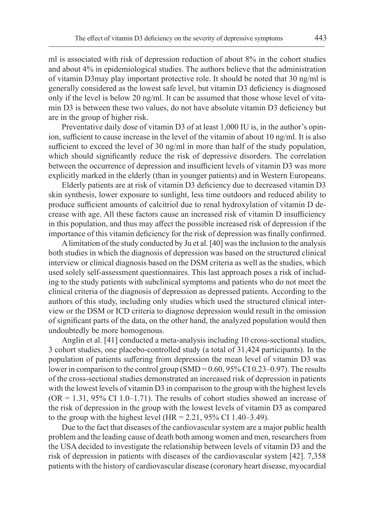ml is associated with risk of depression reduction of about 8% in the cohort studies and about 4% in epidemiological studies. The authors believe that the administration of vitamin D3may play important protective role. It should be noted that 30 ng/ml is generally considered as the lowest safe level, but vitamin D3 deficiency is diagnosed only if the level is below 20 ng/ml. It can be assumed that those whose level of vitamin D3 is between these two values, do not have absolute vitamin D3 deficiency but are in the group of higher risk.

Preventative daily dose of vitamin D3 of at least 1,000 IU is, in the author's opinion, sufficient to cause increase in the level of the vitamin of about 10 ng/ml. It is also sufficient to exceed the level of 30 ng/ml in more than half of the study population, which should significantly reduce the risk of depressive disorders. The correlation between the occurrence of depression and insufficient levels of vitamin D3 was more explicitly marked in the elderly (than in younger patients) and in Western Europeans.

Elderly patients are at risk of vitamin D3 deficiency due to decreased vitamin D3 skin synthesis, lower exposure to sunlight, less time outdoors and reduced ability to produce sufficient amounts of calcitriol due to renal hydroxylation of vitamin D decrease with age. All these factors cause an increased risk of vitamin D insufficiency in this population, and thus may affect the possible increased risk of depression if the importance of this vitamin deficiency for the risk of depression was finally confirmed.

A limitation of the study conducted by Ju et al.[40] was the inclusion to the analysis both studies in which the diagnosis of depression was based on the structured clinical interview or clinical diagnosis based on the DSM criteria as well as the studies, which used solely self-assessment questionnaires. This last approach poses a risk of including to the study patients with subclinical symptoms and patients who do not meet the clinical criteria of the diagnosis of depression as depressed patients. According to the authors of this study, including only studies which used the structured clinical interview or the DSM or ICD criteria to diagnose depression would result in the omission of significant parts of the data, on the other hand, the analyzed population would then undoubtedly be more homogenous.

Anglin et al. [41] conducted a meta-analysis including 10 cross-sectional studies, 3 cohort studies, one placebo-controlled study (a total of 31,424 participants). In the population of patients suffering from depression the mean level of vitamin D3 was lower in comparison to the control group (SMD = 0.60, 95% CI 0.23–0.97). The results of the cross-sectional studies demonstrated an increased risk of depression in patients with the lowest levels of vitamin D3 in comparison to the group with the highest levels  $(OR = 1.31, 95\% \text{ CI } 1.0-1.71)$ . The results of cohort studies showed an increase of the risk of depression in the group with the lowest levels of vitamin D3 as compared to the group with the highest level (HR =  $2.21$ ,  $95\%$  CI 1.40–3.49).

Due to the fact that diseases of the cardiovascular system are a major public health problem and the leading cause of death both among women and men, researchers from the USA decided to investigate the relationship between levels of vitamin D3 and the risk of depression in patients with diseases of the cardiovascular system [42]. 7,358 patients with the history of cardiovascular disease (coronary heart disease, myocardial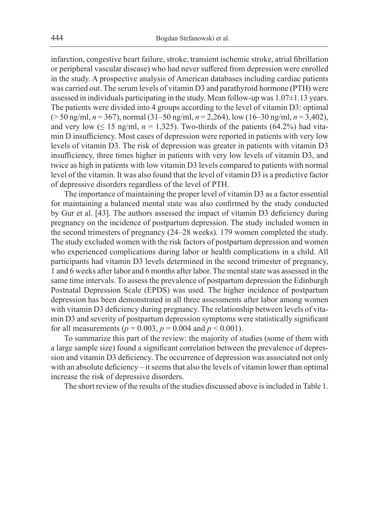infarction, congestive heart failure, stroke, transient ischemic stroke, atrial fibrillation or peripheral vascular disease) who had never suffered from depression were enrolled in the study. A prospective analysis of American databases including cardiac patients was carried out. The serum levels of vitamin D3 and parathyroid hormone (PTH) were assessed in individuals participating in the study. Mean follow-up was 1.07±1.13 years. The patients were divided into 4 groups according to the level of vitamin D3: optimal (> 50 ng/ml, *n* = 367), normal (31–50 ng/ml, *n* = 2,264), low (16–30 ng/ml, *n* = 3,402), and very low  $( \leq 15 \text{ ng/ml}, n = 1,325)$ . Two-thirds of the patients (64.2%) had vitamin D insufficiency. Most cases of depression were reported in patients with very low levels of vitamin D3. The risk of depression was greater in patients with vitamin D3 insufficiency, three times higher in patients with very low levels of vitamin D3, and twice as high in patients with low vitamin D3 levels compared to patients with normal level of the vitamin. It was also found that the level of vitamin D3 is a predictive factor of depressive disorders regardless of the level of PTH.

The importance of maintaining the proper level of vitamin D3 as a factor essential for maintaining a balanced mental state was also confirmed by the study conducted by Gur et al. [43]. The authors assessed the impact of vitamin D3 deficiency during pregnancy on the incidence of postpartum depression. The study included women in the second trimesters of pregnancy (24–28 weeks). 179 women completed the study. The study excluded women with the risk factors of postpartum depression and women who experienced complications during labor or health complications in a child. All participants had vitamin D3 levels determined in the second trimester of pregnancy, 1 and 6 weeks after labor and 6 months after labor. The mental state was assessed in the same time intervals. To assess the prevalence of postpartum depression the Edinburgh Postnatal Depression Scale (EPDS) was used. The higher incidence of postpartum depression has been demonstrated in all three assessments after labor among women with vitamin D3 deficiency during pregnancy. The relationship between levels of vitamin D3 and severity of postpartum depression symptoms were statistically significant for all measurements ( $p = 0.003$ ,  $p = 0.004$  and  $p < 0.001$ ).

To summarize this part of the review: the majority of studies (some of them with a large sample size) found a significant correlation between the prevalence of depression and vitamin D3 deficiency. The occurrence of depression was associated not only with an absolute deficiency – it seems that also the levels of vitamin lower than optimal increase the risk of depressive disorders.

The short review of the results of the studies discussed above is included in Table 1.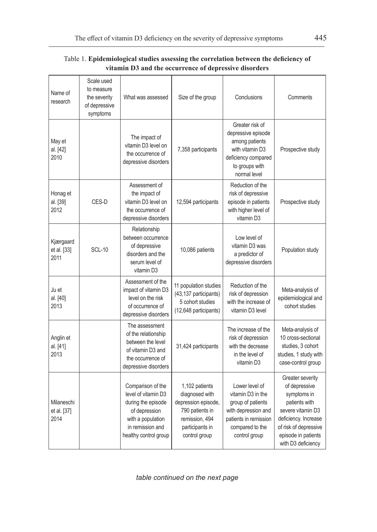| Table 1. Epidemiological studies assessing the correlation between the deficiency of |
|--------------------------------------------------------------------------------------|
| vitamin D3 and the occurrence of depressive disorders                                |

| Name of<br>research               | Scale used<br>to measure<br>the severity<br>of depressive<br>symptoms | What was assessed                                                                                                                                 | Size of the group                                                                                                                | Conclusions                                                                                                                                  | Comments                                                                                                                                                                             |  |
|-----------------------------------|-----------------------------------------------------------------------|---------------------------------------------------------------------------------------------------------------------------------------------------|----------------------------------------------------------------------------------------------------------------------------------|----------------------------------------------------------------------------------------------------------------------------------------------|--------------------------------------------------------------------------------------------------------------------------------------------------------------------------------------|--|
| May et<br>al. [42]<br>2010        |                                                                       | The impact of<br>vitamin D3 level on<br>the occurrence of<br>depressive disorders                                                                 | 7,358 participants                                                                                                               | Greater risk of<br>depressive episode<br>among patients<br>with vitamin D3<br>deficiency compared<br>to groups with<br>normal level          | Prospective study                                                                                                                                                                    |  |
| Honag et<br>al. [39]<br>2012      | CES-D                                                                 | Assessment of<br>the impact of<br>vitamin D3 level on<br>the occurrence of<br>depressive disorders                                                | 12,594 participants                                                                                                              | Reduction of the<br>risk of depressive<br>episode in patients<br>with higher level of<br>vitamin D3                                          | Prospective study                                                                                                                                                                    |  |
| Kjærgaard<br>et al. [33]<br>2011  | <b>SCL-10</b>                                                         | Relationship<br>between occurrence<br>of depressive<br>disorders and the<br>serum level of<br>vitamin D3                                          | 10,086 patients                                                                                                                  | Low level of<br>vitamin D3 was<br>a predictor of<br>depressive disorders                                                                     | Population study                                                                                                                                                                     |  |
| Ju et<br>al. [40]<br>2013         |                                                                       | Assessment of the<br>impact of vitamin D3<br>level on the risk<br>of occurrence of<br>depressive disorders                                        | 11 population studies<br>(43,137 participants)<br>5 cohort studies<br>(12,648 participants)                                      | Reduction of the<br>risk of depression<br>with the increase of<br>vitamin D3 level                                                           | Meta-analysis of<br>epidemiological and<br>cohort studies                                                                                                                            |  |
| Anglin et<br>al. [41]<br>2013     |                                                                       | The assessment<br>of the relationship<br>between the level<br>of vitamin D3 and<br>the occurrence of<br>depressive disorders                      | 31,424 participants                                                                                                              | The increase of the<br>risk of depression<br>with the decrease<br>in the level of<br>vitamin D3                                              | Meta-analysis of<br>10 cross-sectional<br>studies, 3 cohort<br>studies, 1 study with<br>case-control group                                                                           |  |
| Milaneschi<br>et al. [37]<br>2014 |                                                                       | Comparison of the<br>level of vitamin D3<br>during the episode<br>of depression<br>with a population<br>in remission and<br>healthy control group | 1,102 patients<br>diagnosed with<br>depression episode,<br>790 patients in<br>remission, 494<br>participants in<br>control group | Lower level of<br>vitamin D3 in the<br>group of patients<br>with depression and<br>patients in remission<br>compared to the<br>control group | Greater severity<br>of depressive<br>symptoms in<br>patients with<br>severe vitamin D3<br>deficiency. Increase<br>of risk of depressive<br>episode in patients<br>with D3 deficiency |  |

*table continued on the next page*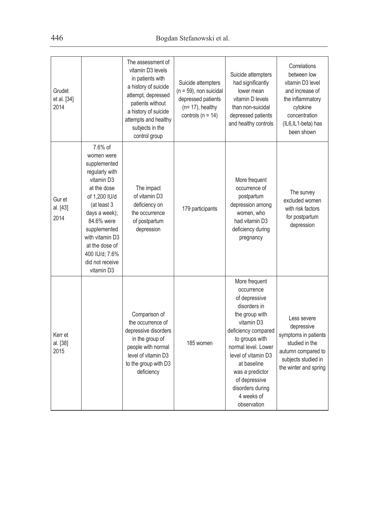| Grudet<br>et al. [34]<br>2014 |                                                                                                                                                                                                                                                             | The assessment of<br>vitamin D3 levels<br>in patients with<br>a history of suicide<br>attempt, depressed<br>patients without<br>a history of suicide<br>attempts and healthy<br>subjects in the<br>control group | Suicide attempters<br>$(n = 59)$ , non suicidal<br>depressed patients<br>$(n=17)$ , healthy<br>controls ( $n = 14$ ) | Suicide attempters<br>had significantly<br>lower mean<br>vitamin D levels<br>than non-suicidal<br>depressed patients<br>and healthy controls                                                                                                                                            | Correlations<br>between low<br>vitamin D3 level<br>and increase of<br>the inflammatory<br>cytokine<br>concentration<br>(IL6,IL1-beta) has<br>been shown |
|-------------------------------|-------------------------------------------------------------------------------------------------------------------------------------------------------------------------------------------------------------------------------------------------------------|------------------------------------------------------------------------------------------------------------------------------------------------------------------------------------------------------------------|----------------------------------------------------------------------------------------------------------------------|-----------------------------------------------------------------------------------------------------------------------------------------------------------------------------------------------------------------------------------------------------------------------------------------|---------------------------------------------------------------------------------------------------------------------------------------------------------|
| Gur et<br>al. [43]<br>2014    | 7.6% of<br>women were<br>supplemented<br>regularly with<br>vitamin D3<br>at the dose<br>of 1,200 IU/d<br>(at least 3<br>days a week);<br>84.6% were<br>supplemented<br>with vitamin D3<br>at the dose of<br>400 IU/d; 7.6%<br>did not receive<br>vitamin D3 | The impact<br>of vitamin D3<br>deficiency on<br>the occurrence<br>of postpartum<br>depression                                                                                                                    | 179 participants                                                                                                     | More frequent<br>occurrence of<br>postpartum<br>depression among<br>women, who<br>had vitamin D3<br>deficiency during<br>pregnancy                                                                                                                                                      | The survey<br>excluded women<br>with risk factors<br>for postpartum<br>depression                                                                       |
| Kerr et<br>al. [38]<br>2015   |                                                                                                                                                                                                                                                             | Comparison of<br>the occurrence of<br>depressive disorders<br>in the group of<br>people with normal<br>level of vitamin D3<br>to the group with D3<br>deficiency                                                 | 185 women                                                                                                            | More frequent<br>occurrence<br>of depressive<br>disorders in<br>the group with<br>vitamin D3<br>deficiency compared<br>to groups with<br>normal level. Lower<br>level of vitamin D3<br>at baseline<br>was a predictor<br>of depressive<br>disorders during<br>4 weeks of<br>observation | Less severe<br>depressive<br>symptoms in patients<br>studied in the<br>autumn compared to<br>subjects studied in<br>the winter and spring               |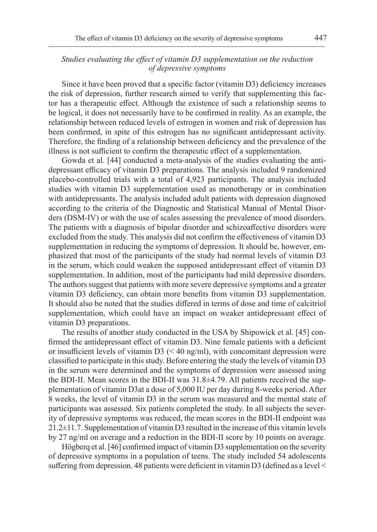## *Studies evaluating the effect of vitamin D3 supplementation on the reduction of depressive symptoms*

Since it have been proved that a specific factor (vitamin D3) deficiency increases the risk of depression, further research aimed to verify that supplementing this factor has a therapeutic effect. Although the existence of such a relationship seems to be logical, it does not necessarily have to be confirmed in reality. As an example, the relationship between reduced levels of estrogen in women and risk of depression has been confirmed, in spite of this estrogen has no significant antidepressant activity. Therefore, the finding of a relationship between deficiency and the prevalence of the illness is not sufficient to confirm the therapeutic effect of a supplementation.

Gowda et al. [44] conducted a meta-analysis of the studies evaluating the antidepressant efficacy of vitamin D3 preparations. The analysis included 9 randomized placebo-controlled trials with a total of 4,923 participants. The analysis included studies with vitamin D3 supplementation used as monotherapy or in combination with antidepressants. The analysis included adult patients with depression diagnosed according to the criteria of the Diagnostic and Statistical Manual of Mental Disorders (DSM-IV) or with the use of scales assessing the prevalence of mood disorders. The patients with a diagnosis of bipolar disorder and schizoaffective disorders were excluded from the study. This analysis did not confirm the effectiveness of vitamin D3 supplementation in reducing the symptoms of depression. It should be, however, emphasized that most of the participants of the study had normal levels of vitamin D3 in the serum, which could weaken the supposed antidepressant effect of vitamin D3 supplementation. In addition, most of the participants had mild depressive disorders. The authors suggest that patients with more severe depressive symptoms and a greater vitamin D3 deficiency, can obtain more benefits from vitamin D3 supplementation. It should also be noted that the studies differed in terms of dose and time of calcitriol supplementation, which could have an impact on weaker antidepressant effect of vitamin D3 preparations.

The results of another study conducted in the USA by Shipowick et al. [45] confirmed the antidepressant effect of vitamin D3. Nine female patients with a deficient or insufficient levels of vitamin  $D3$  (< 40 ng/ml), with concomitant depression were classified to participate in this study. Before entering the study the levels of vitamin D3 in the serum were determined and the symptoms of depression were assessed using the BDI-II. Mean scores in the BDI-II was 31.8±4.79. All patients received the supplementation of vitamin D3at a dose of 5,000 IU per day during 8-weeks period. After 8 weeks, the level of vitamin D3 in the serum was measured and the mental state of participants was assessed. Six patients completed the study. In all subjects the severity of depressive symptoms was reduced, the mean scores in the BDI-II endpoint was 21.2±11.7. Supplementation of vitamin D3 resulted in the increase of this vitamin levels by 27 ng/ml on average and a reduction in the BDI-II score by 10 points on average.

Högberq et al. [46] confirmed impact of vitamin D3 supplementation on the severity of depressive symptoms in a population of teens. The study included 54 adolescents suffering from depression. 48 patients were deficient in vitamin D3 (defined as a level  $\leq$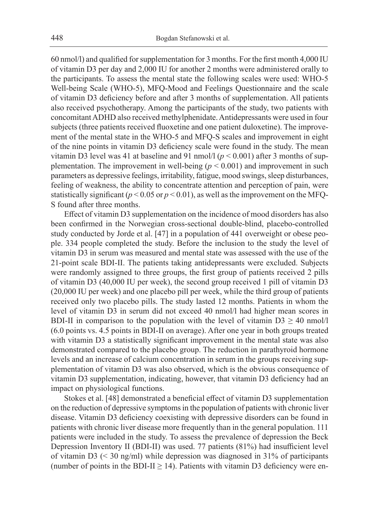60 nmol/l) and qualified for supplementation for 3 months. For the first month 4,000 IU of vitamin D3 per day and 2,000 IU for another 2 months were administered orally to the participants. To assess the mental state the following scales were used: WHO-5 Well-being Scale (WHO-5), MFQ-Mood and Feelings Questionnaire and the scale of vitamin D3 deficiency before and after 3 months of supplementation. All patients also received psychotherapy. Among the participants of the study, two patients with concomitant ADHD also received methylphenidate. Antidepressants were used in four subjects (three patients received fluoxetine and one patient duloxetine). The improvement of the mental state in the WHO-5 and MFQ-S scales and improvement in eight of the nine points in vitamin D3 deficiency scale were found in the study. The mean vitamin D3 level was 41 at baseline and 91 nmol/l ( $p < 0.001$ ) after 3 months of supplementation. The improvement in well-being (*p* < 0.001) and improvement in such parameters as depressive feelings, irritability, fatigue, mood swings, sleep disturbances, feeling of weakness, the ability to concentrate attention and perception of pain, were statistically significant ( $p < 0.05$  or  $p < 0.01$ ), as well as the improvement on the MFQ-S found after three months.

Effect of vitamin D3 supplementation on the incidence of mood disorders has also been confirmed in the Norwegian cross-sectional double-blind, placebo-controlled study conducted by Jorde et al. [47] in a population of 441 overweight or obese people. 334 people completed the study. Before the inclusion to the study the level of vitamin D3 in serum was measured and mental state was assessed with the use of the 21-point scale BDI-II. The patients taking antidepressants were excluded. Subjects were randomly assigned to three groups, the first group of patients received 2 pills of vitamin D3 (40,000 IU per week), the second group received 1 pill of vitamin D3 (20,000 IU per week) and one placebo pill per week, while the third group of patients received only two placebo pills. The study lasted 12 months. Patients in whom the level of vitamin D3 in serum did not exceed 40 nmol/l had higher mean scores in BDI-II in comparison to the population with the level of vitamin  $D3 \ge 40$  nmol/l (6.0 points vs. 4.5 points in BDI-II on average). After one year in both groups treated with vitamin D3 a statistically significant improvement in the mental state was also demonstrated compared to the placebo group. The reduction in parathyroid hormone levels and an increase of calcium concentration in serum in the groups receiving supplementation of vitamin D3 was also observed, which is the obvious consequence of vitamin D3 supplementation, indicating, however, that vitamin D3 deficiency had an impact on physiological functions.

Stokes et al. [48] demonstrated a beneficial effect of vitamin D3 supplementation on the reduction of depressive symptoms in the population of patients with chronic liver disease. Vitamin D3 deficiency coexisting with depressive disorders can be found in patients with chronic liver disease more frequently than in the general population. 111 patients were included in the study. To assess the prevalence of depression the Beck Depression Inventory II (BDI-II) was used. 77 patients (81%) had insufficient level of vitamin D3 (< 30 ng/ml) while depression was diagnosed in 31% of participants (number of points in the BDI-II  $\geq$  14). Patients with vitamin D3 deficiency were en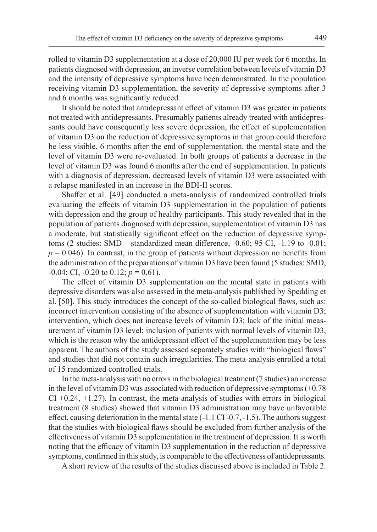rolled to vitamin D3 supplementation at a dose of 20,000 IU per week for 6 months. In patients diagnosed with depression, an inverse correlation between levels of vitamin D3 and the intensity of depressive symptoms have been demonstrated. In the population receiving vitamin D3 supplementation, the severity of depressive symptoms after 3 and 6 months was significantly reduced.

It should be noted that antidepressant effect of vitamin D3 was greater in patients not treated with antidepressants. Presumably patients already treated with antidepressants could have consequently less severe depression, the effect of supplementation of vitamin D3 on the reduction of depressive symptoms in that group could therefore be less visible. 6 months after the end of supplementation, the mental state and the level of vitamin D3 were re-evaluated. In both groups of patients a decrease in the level of vitamin D3 was found 6 months after the end of supplementation. In patients with a diagnosis of depression, decreased levels of vitamin D3 were associated with a relapse manifested in an increase in the BDI-II scores.

Shaffer et al. [49] conducted a meta-analysis of randomized controlled trials evaluating the effects of vitamin D3 supplementation in the population of patients with depression and the group of healthy participants. This study revealed that in the population of patients diagnosed with depression, supplementation of vitamin D3 has a moderate, but statistically significant effect on the reduction of depressive symptoms (2 studies: SMD – standardized mean difference, -0.60; 95 CI, -1.19 to -0.01;  $p = 0.046$ ). In contrast, in the group of patients without depression no benefits from the administration of the preparations of vitamin D3 have been found (5 studies: SMD,  $-0.04$ ; CI,  $-0.20$  to  $0.12$ ;  $p = 0.61$ ).

The effect of vitamin D3 supplementation on the mental state in patients with depressive disorders was also assessed in the meta-analysis published by Spedding et al. [50]. This study introduces the concept of the so-called biological flaws, such as: incorrect intervention consisting of the absence of supplementation with vitamin D3; intervention, which does not increase levels of vitamin D3; lack of the initial measurement of vitamin D3 level; inclusion of patients with normal levels of vitamin D3, which is the reason why the antidepressant effect of the supplementation may be less apparent. The authors of the study assessed separately studies with "biological flaws" and studies that did not contain such irregularities. The meta-analysis enrolled a total of 15 randomized controlled trials.

In the meta-analysis with no errors in the biological treatment (7 studies) an increase in the level of vitamin D3 was associated with reduction of depressive symptoms (+0.78  $CI + 0.24, +1.27$ ). In contrast, the meta-analysis of studies with errors in biological treatment (8 studies) showed that vitamin D3 administration may have unfavorable effect, causing deterioration in the mental state (-1.1 CI -0.7, -1.5). The authors suggest that the studies with biological flaws should be excluded from further analysis of the effectiveness of vitamin D3 supplementation in the treatment of depression. It is worth noting that the efficacy of vitamin D3 supplementation in the reduction of depressive symptoms, confirmed in this study, is comparable to the effectiveness of antidepressants.

A short review of the results of the studies discussed above is included in Table 2.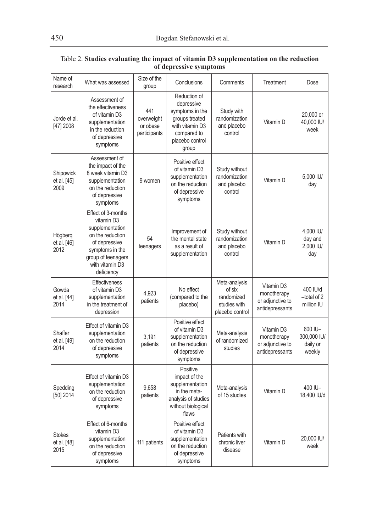| Name of<br>research                  | What was assessed                                                                                                                                                  | Size of the<br>group                          | Conclusions                                                                                                                   | Comments                                                                 | Treatment                                                        | Dose                                         |
|--------------------------------------|--------------------------------------------------------------------------------------------------------------------------------------------------------------------|-----------------------------------------------|-------------------------------------------------------------------------------------------------------------------------------|--------------------------------------------------------------------------|------------------------------------------------------------------|----------------------------------------------|
| Jorde et al.<br>[47] 2008            | Assessment of<br>the effectiveness<br>of vitamin D3<br>supplementation<br>in the reduction<br>of depressive<br>symptoms                                            | 441<br>overweight<br>or obese<br>participants | Reduction of<br>depressive<br>symptoms in the<br>groups treated<br>with vitamin D3<br>compared to<br>placebo control<br>group | Study with<br>randomization<br>and placebo<br>control                    | Vitamin D                                                        | 20.000 or<br>40,000 IU/<br>week              |
| Shipowick<br>et al. [45]<br>2009     | Assessment of<br>the impact of the<br>8 week vitamin D3<br>supplementation<br>on the reduction<br>of depressive<br>symptoms                                        | 9 women                                       | Positive effect<br>of vitamin D3<br>supplementation<br>on the reduction<br>of depressive<br>symptoms                          | Study without<br>randomization<br>and placebo<br>control                 | Vitamin D                                                        | 5.000 IU/<br>day                             |
| Högberg<br>et al. [46]<br>2012       | Effect of 3-months<br>vitamin D3<br>supplementation<br>on the reduction<br>of depressive<br>symptoms in the<br>group of teenagers<br>with vitamin D3<br>deficiency | 54<br>teenagers                               | Improvement of<br>the mental state<br>as a result of<br>supplementation                                                       | Study without<br>randomization<br>and placebo<br>control                 | Vitamin D                                                        | 4.000 IU/<br>day and<br>2,000 IU/<br>day     |
| Gowda<br>et al. [44]<br>2014         | <b>Effectiveness</b><br>of vitamin D3<br>supplementation<br>in the treatment of<br>depression                                                                      | 4,923<br>patients                             | No effect<br>(compared to the<br>placebo)                                                                                     | Meta-analysis<br>of six<br>randomized<br>studies with<br>placebo control | Vitamin D3<br>monotherapy<br>or adjunctive to<br>antidepressants | 400 IU/d<br>-total of 2<br>million IU        |
| Shaffer<br>et al. [49]<br>2014       | Effect of vitamin D3<br>supplementation<br>on the reduction<br>of depressive<br>symptoms                                                                           | 3,191<br>patients                             | Positive effect<br>of vitamin D3<br>supplementation<br>on the reduction<br>of depressive<br>symptoms                          | Meta-analysis<br>of randomized<br>studies                                | Vitamin D3<br>monotherapy<br>or adjunctive to<br>antidepressants | 600 IU-<br>300,000 IU/<br>daily or<br>weekly |
| Spedding<br>[50] 2014                | Effect of vitamin D3<br>supplementation<br>on the reduction<br>of depressive<br>symptoms                                                                           | 9.658<br>patients                             | Positive<br>impact of the<br>supplementation<br>in the meta-<br>analysis of studies<br>without biological<br>flaws            | Meta-analysis<br>of 15 studies                                           | Vitamin D                                                        | 400 IU-<br>18,400 IU/d                       |
| <b>Stokes</b><br>et al. [48]<br>2015 | Effect of 6-months<br>vitamin D3<br>supplementation<br>on the reduction<br>of depressive<br>symptoms                                                               | 111 patients                                  | Positive effect<br>of vitamin D3<br>supplementation<br>on the reduction<br>of depressive<br>symptoms                          | Patients with<br>chronic liver<br>disease                                | Vitamin D                                                        | 20,000 IU/<br>week                           |

## Table 2. **Studies evaluating the impact of vitamin D3 supplementation on the reduction of depressive symptoms**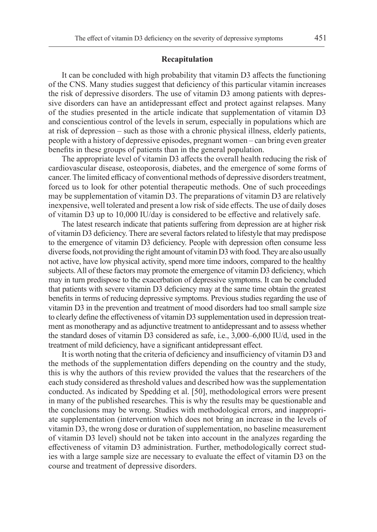#### **Recapitulation**

It can be concluded with high probability that vitamin D3 affects the functioning of the CNS. Many studies suggest that deficiency of this particular vitamin increases the risk of depressive disorders. The use of vitamin D3 among patients with depressive disorders can have an antidepressant effect and protect against relapses. Many of the studies presented in the article indicate that supplementation of vitamin D3 and conscientious control of the levels in serum, especially in populations which are at risk of depression – such as those with a chronic physical illness, elderly patients, people with a history of depressive episodes, pregnant women – can bring even greater benefits in these groups of patients than in the general population.

The appropriate level of vitamin D3 affects the overall health reducing the risk of cardiovascular disease, osteoporosis, diabetes, and the emergence of some forms of cancer. The limited efficacy of conventional methods of depressive disorders treatment, forced us to look for other potential therapeutic methods. One of such proceedings may be supplementation of vitamin D3. The preparations of vitamin D3 are relatively inexpensive, well tolerated and present a low risk of side effects. The use of daily doses of vitamin D3 up to 10,000 IU/day is considered to be effective and relatively safe.

The latest research indicate that patients suffering from depression are at higher risk of vitamin D3 deficiency. There are several factors related to lifestyle that may predispose to the emergence of vitamin D3 deficiency. People with depression often consume less diverse foods, not providing the right amount of vitaminD3 with food. They are also usually not active, have low physical activity, spend more time indoors, compared to the healthy subjects. All of these factors may promote the emergence of vitamin D3 deficiency, which may in turn predispose to the exacerbation of depressive symptoms. It can be concluded that patients with severe vitamin D3 deficiency may at the same time obtain the greatest benefits in terms of reducing depressive symptoms. Previous studies regarding the use of vitamin D3 in the prevention and treatment of mood disorders had too small sample size to clearly define the effectiveness of vitamin D3 supplementation used in depression treatment as monotherapy and as adjunctive treatment to antidepressant and to assess whether the standard doses of vitamin D3 considered as safe, i.e., 3,000–6,000 IU/d, used in the treatment of mild deficiency, have a significant antidepressant effect.

It is worth noting that the criteria of deficiency and insufficiency of vitamin D3 and the methods of the supplementation differs depending on the country and the study, this is why the authors of this review provided the values that the researchers of the each study considered as threshold values and described how was the supplementation conducted. As indicated by Spedding et al. [50], methodological errors were present in many of the published researches. This is why the results may be questionable and the conclusions may be wrong. Studies with methodological errors, and inappropriate supplementation (intervention which does not bring an increase in the levels of vitamin D3, the wrong dose or duration of supplementation, no baseline measurement of vitamin D3 level) should not be taken into account in the analyzes regarding the effectiveness of vitamin D3 administration. Further, methodologically correct studies with a large sample size are necessary to evaluate the effect of vitamin D3 on the course and treatment of depressive disorders.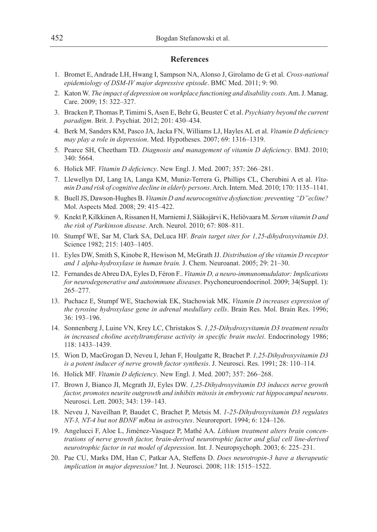### **References**

- 1. Bromet E, Andrade LH, Hwang I, Sampson NA, Alonso J, Girolamo de G et al. *Cross-national epidemiology of DSM-IV major depressive episode*. BMC Med. 2011; 9: 90.
- 2. Katon W. *The impact of depression on workplace functioning and disability costs*. Am. J. Manag. Care. 2009; 15: 322–327.
- 3. Bracken P, Thomas P, Timimi S, Asen E, Behr G, Beuster C et al. *Psychiatry beyond the current paradigm*. Brit. J. Psychiat. 2012; 201: 430–434.
- 4. Berk M, Sanders KM, Pasco JA, Jacka FN, Williams LJ, Hayles AL et al. *Vitamin D deficiency may play a role in depression*. Med. Hypotheses. 2007; 69: 1316–1319.
- 5. Pearce SH, Cheetham TD. *Diagnosis and management of vitamin D deficiency*. BMJ. 2010; 340: 5664.
- 6. Holick MF. *Vitamin D deficiency*. New Engl. J. Med. 2007; 357: 266–281.
- 7. Llewellyn DJ, Lang IA, Langa KM, Muniz-Terrera G, Phillips CL, Cherubini A et al. *Vitamin D and risk of cognitive decline in elderly persons*. Arch. Intern. Med. 2010; 170: 1135–1141.
- 8. Buell JS, Dawson-Hughes B. *Vitamin D and neurocognitive dysfunction: preventing "D"ecline?*  Mol. Aspects Med. 2008; 29: 415–422.
- 9. Knekt P, Kilkkinen A, Rissanen H, Marniemi J, Sääksjärvi K, Heliövaara M. *Serum vitamin D and the risk of Parkinson disease*. Arch. Neurol. 2010; 67: 808–811.
- 10. Stumpf WE, Sar M, Clark SA, DeLuca HF. *Brain target sites for 1,25-dihydroxyvitamin D3*. Science 1982; 215: 1403–1405.
- 11. Eyles DW, Smith S, Kinobe R, Hewison M, McGrath JJ. *Distribution of the vitamin D receptor and 1 alpha-hydroxylase in human brain.* J. Chem. Neuroanat. 2005; 29: 21–30.
- 12. Fernandes de Abreu DA, Eyles D, Féron F.. *Vitamin D, a neuro-immunomudulator: Implications for neurodegenerative and autoimmune diseases*. Psychoneuroendocrinol. 2009; 34(Suppl. 1): 265–277.
- 13. Puchacz E, Stumpf WE, Stachowiak EK, Stachowiak MK. *Vitamin D increases expression of the tyrosine hydroxylase gene in adrenal medullary cells*. Brain Res. Mol. Brain Res. 1996; 36: 193–196.
- 14. Sonnenberg J, Luine VN, Krey LC, Christakos S. *1,25-Dihydroxyvitamin D3 treatment results*  in increased choline acetyltransferase activity in specific brain nuclei. Endocrinology 1986; 118: 1433–1439.
- 15. Wion D, MacGrogan D, Neveu I, Jehan F, Houlgatte R, Brachet P. *1,25-Dihydroxyvitamin D3 is a potent inducer of nerve growth factor synthesis*. J. Neurosci. Res. 1991; 28: 110–114.
- 16. Holick MF. *Vitamin D deficiency*. New Engl. J. Med. 2007; 357: 266–268.
- 17. Brown J, Bianco JI, Mcgrath JJ, Eyles DW. *1,25-Dihydroxyvitamin D3 induces nerve growth factor, promotes neurite outgrowth and inhibits mitosis in embryonic rat hippocampal neurons*. Neurosci. Lett. 2003; 343: 139–143.
- 18. Neveu J, Naveilhan P, Baudet C, Brachet P, Metsis M. *1-25-Dihydroxyvitamin D3 regulates NT-3, NT-4 but not BDNF mRna in astrocytes*. Neuroreport. 1994; 6: 124–126.
- 19. Angelucci F, Aloe L, Jiménez-Vasquez P, Mathé AA. *Lithium treatment alters brain concentrations of nerve growth factor, brain-derived neurotrophic factor and glial cell line-derived neurotrophic factor in rat model of depression*. Int. J. Neuropsychoph. 2003; 6: 225–231.
- 20. Pae CU, Marks DM, Han C, Patkar AA, Steffens D. *Does neurotropin-3 have a therapeutic implication in major depression?* Int. J. Neurosci. 2008; 118: 1515–1522.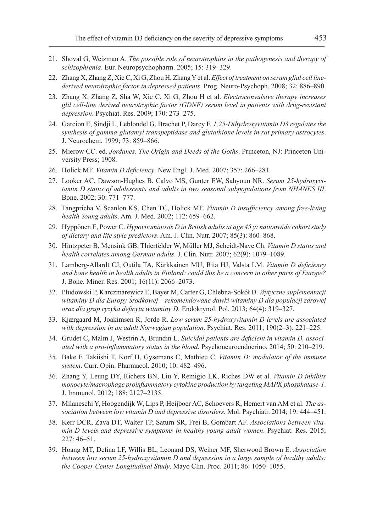- 21. Shoval G, Weizman A. *The possible role of neurotrophins in the pathogenesis and therapy of schizophrenia*. Eur. Neuropsychopharm. 2005; 15: 319–329.
- 22. Zhang X, Zhang Z, Xie C, Xi G, Zhou H, Zhang Yet al. *Effect of treatment on serum glial cell linederived neurotrophic factor in depressed patients*. Prog. Neuro-Psychoph. 2008; 32: 886–890.
- 23. Zhang X, Zhang Z, Sha W, Xie C, Xi G, Zhou H et al. *Electroconvulsive therapy increases glil cell-line derived neurotrophic factor (GDNF) serum level in patients with drug-resistant depression*. Psychiat. Res. 2009; 170: 273–275.
- 24. Garcion E, Sindji L, Leblondel G, Brachet P, Darcy F. *1,25-Dihydroxyvitamin D3 regulates the synthesis of gamma-glutamyl transpeptidase and glutathione levels in rat primary astrocytes*. J. Neurochem. 1999; 73: 859–866.
- 25. Mierow CC. ed. *Jordanes. The Origin and Deeds of the Goths*. Princeton, NJ: Princeton University Press; 1908.
- 26. Holick MF. *Vitamin D deficiency*. New Engl. J. Med. 2007; 357: 266–281.
- 27. Looker AC, Dawson-Hughes B, Calvo MS, Gunter EW, Sahyoun NR. *Serum 25-hydroxyvitamin D status of adolescents and adults in two seasonal subpopulations from NHANES III*. Bone. 2002; 30: 771–777.
- 28. Tangpricha V, Scanlon KS, Chen TC, Holick MF. *Vitamin D insufficiency among free-living health Young adults*. Am. J. Med. 2002; 112: 659–662.
- 29. Hyppönen E, Power C. *Hypovitaminosis D in British adults at age 45 y: nationwide cohort study of dietary and life style predictors*. Am. J. Clin. Nutr. 2007; 85(3): 860–868.
- 30. Hintzpeter B, Mensink GB, Thierfelder W, Müller MJ, Scheidt-Nave Ch. *Vitamin D status and health correlates among German adults*. J. Clin. Nutr. 2007; 62(9): 1079–1089.
- 31. Lamberg-Allardt CJ, Outila TA, Kärkkainen MU, Rita HJ, Valsta LM. *Vitamin D deficiency and bone health in health adults in Finland: could this be a concern in other parts of Europe?*  J. Bone. Miner. Res. 2001; 16(11): 2066–2073.
- 32. Płudowski P, Karczmarewicz E, Bayer M, Carter G, Chlebna-Sokół D. *Wytyczne suplementacji witaminy D dla Europy Środkowej – rekomendowane dawki witaminy D dla populacji zdrowej oraz dla grup ryzyka deficytu witaminy D.* Endokrynol. Pol. 2013; 64(4): 319–327.
- 33. Kjærgaard M, Joakimsen R, Jorde R. *Low serum 25-hydroxyvitamin D levels are associated with depression in an adult Norwegian population*. Psychiat. Res. 2011; 190(2–3): 221–225.
- 34. Grudet C, Malm J, Westrin A, Brundin L. *Suicidal patients are deficient in vitamin D, associated with a pro-inflammatory status in the blood*. Psychoneuroendocrino. 2014; 50: 210–219.
- 35. Bake F, Takiishi T, Korf H, Gysemans C, Mathieu C. *Vitamin D: modulator of the immune system*. Curr. Opin. Pharmacol. 2010; 10: 482–496.
- 36. Zhang Y, Leung DY, Richers BN, Liu Y, Remigio LK, Riches DW et al. *Vitamin D inhibits monocyte/macrophage proinflammatory cytokine production by targeting MAPK phosphatase-1*. J. Immunol. 2012; 188: 2127–2135.
- 37. Milaneschi Y, Hoogendijk W, Lips P, Heijboer AC, Schoevers R, Hemert van AM et al. *The association between low vitamin D and depressive disorders.* Mol. Psychiatr. 2014; 19: 444–451.
- 38. Kerr DCR, Zava DT, Walter TP, Saturn SR, Frei B, Gombart AF. *Associations between vitamin D levels and depressive symptoms in healthy young adult women*. Psychiat. Res. 2015; 227: 46–51.
- 39. Hoang MT, Defina LF, Willis BL, Leonard DS, Weiner MF, Sherwood Brown E. *Association between low serum 25-hydroxyvitamin D and depression in a large sample of healthy adults: the Cooper Center Longitudinal Study*. Mayo Clin. Proc. 2011; 86: 1050–1055.